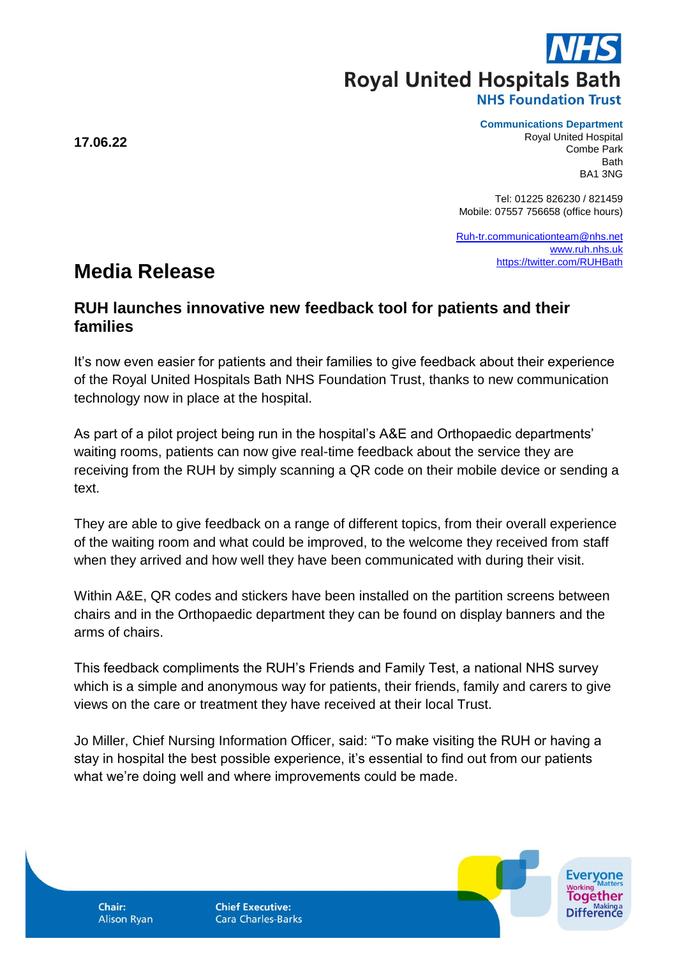**Royal United Hospitals Bath** 

**Communications Department**

Royal United Hospital Combe Park Bath BA1 3NG

Tel: 01225 826230 / 821459 Mobile: 07557 756658 (office hours)

[Ruh-tr.communicationteam@nhs.net](mailto:Ruh-tr.communicationteam@nhs.net) [www.ruh.nhs.uk](http://www.ruh.nhs.uk/) <https://twitter.com/RUHBath>

## **Media Release**

## **RUH launches innovative new feedback tool for patients and their families**

It's now even easier for patients and their families to give feedback about their experience of the Royal United Hospitals Bath NHS Foundation Trust, thanks to new communication technology now in place at the hospital.

As part of a pilot project being run in the hospital's A&E and Orthopaedic departments' waiting rooms, patients can now give real-time feedback about the service they are receiving from the RUH by simply scanning a QR code on their mobile device or sending a text.

They are able to give feedback on a range of different topics, from their overall experience of the waiting room and what could be improved, to the welcome they received from staff when they arrived and how well they have been communicated with during their visit.

Within A&E, QR codes and stickers have been installed on the partition screens between chairs and in the Orthopaedic department they can be found on display banners and the arms of chairs.

This feedback compliments the RUH's Friends and Family Test, a national NHS survey which is a simple and anonymous way for patients, their friends, family and carers to give views on the care or treatment they have received at their local Trust.

Jo Miller, Chief Nursing Information Officer, said: "To make visiting the RUH or having a stay in hospital the best possible experience, it's essential to find out from our patients what we're doing well and where improvements could be made.

Chair: **Alison Ryan**  **Chief Executive: Cara Charles-Barks** 



**17.06.22**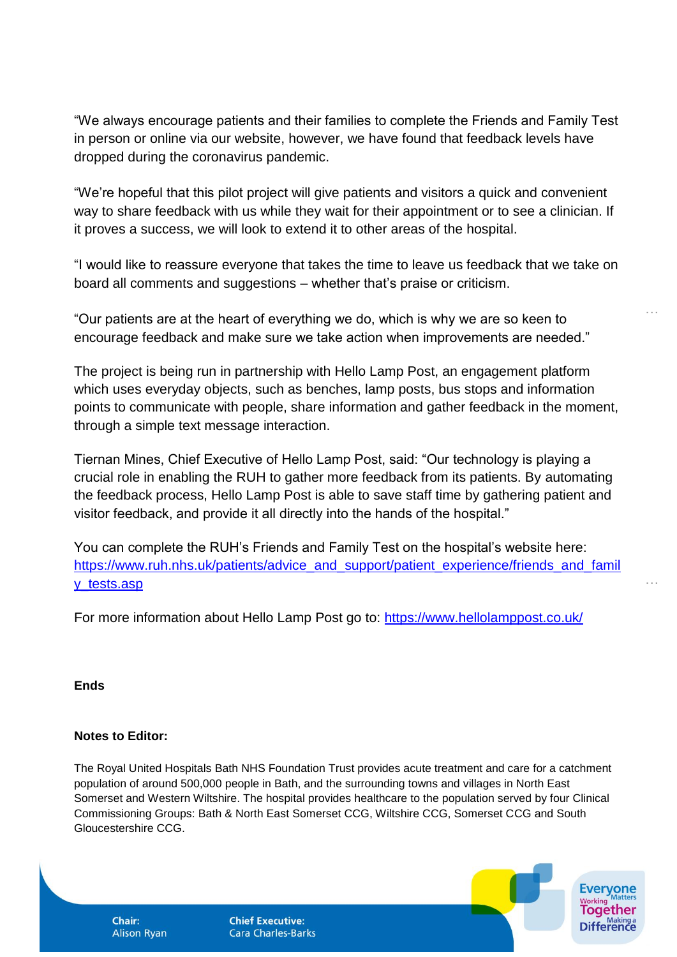"We always encourage patients and their families to complete the Friends and Family Test in person or online via our website, however, we have found that feedback levels have dropped during the coronavirus pandemic.

"We're hopeful that this pilot project will give patients and visitors a quick and convenient way to share feedback with us while they wait for their appointment or to see a clinician. If it proves a success, we will look to extend it to other areas of the hospital.

"I would like to reassure everyone that takes the time to leave us feedback that we take on board all comments and suggestions – whether that's praise or criticism.

…

…

"Our patients are at the heart of everything we do, which is why we are so keen to encourage feedback and make sure we take action when improvements are needed."

The project is being run in partnership with Hello Lamp Post, an engagement platform which uses everyday objects, such as benches, lamp posts, bus stops and information points to communicate with people, share information and gather feedback in the moment, through a simple text message interaction.

Tiernan Mines, Chief Executive of Hello Lamp Post, said: "Our technology is playing a crucial role in enabling the RUH to gather more feedback from its patients. By automating the feedback process, Hello Lamp Post is able to save staff time by gathering patient and visitor feedback, and provide it all directly into the hands of the hospital."

You can complete the RUH's Friends and Family Test on the hospital's website here: [https://www.ruh.nhs.uk/patients/advice\\_and\\_support/patient\\_experience/friends\\_and\\_famil](https://www.ruh.nhs.uk/patients/advice_and_support/patient_experience/friends_and_family_tests.asp) [y\\_tests.asp](https://www.ruh.nhs.uk/patients/advice_and_support/patient_experience/friends_and_family_tests.asp)

For more information about Hello Lamp Post go to:<https://www.hellolamppost.co.uk/>

**Ends**

## **Notes to Editor:**

The Royal United Hospitals Bath NHS Foundation Trust provides acute treatment and care for a catchment population of around 500,000 people in Bath, and the surrounding towns and villages in North East Somerset and Western Wiltshire. The hospital provides healthcare to the population served by four Clinical Commissioning Groups: Bath & North East Somerset CCG, Wiltshire CCG, Somerset CCG and South Gloucestershire CCG.

Chair: **Alison Ryan**  **Chief Executive: Cara Charles-Barks**